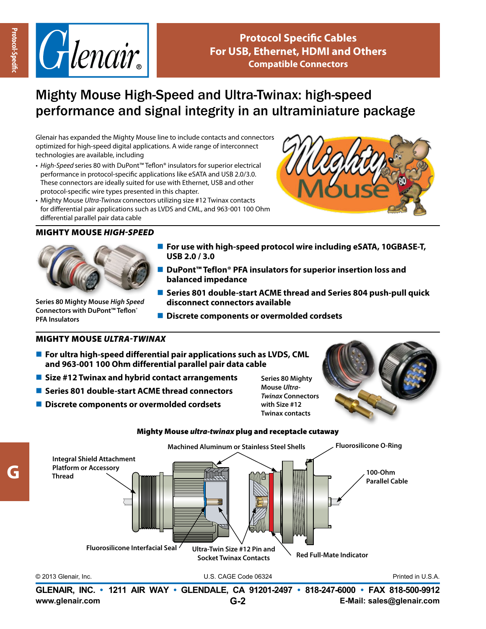**G**



## Mighty Mouse High-Speed and Ultra-Twinax: high-speed performance and signal integrity in an ultraminiature package

Glenair has expanded the Mighty Mouse line to include contacts and connectors optimized for high-speed digital applications. A wide range of interconnect technologies are available, including

- *• High-Speed* series 80 with DuPont™ Teflon® insulators for superior electrical performance in protocol-specific applications like eSATA and USB 2.0/3.0. These connectors are ideally suited for use with Ethernet, USB and other protocol-specific wire types presented in this chapter.
- Mighty Mouse *Ultra-Twinax* connectors utilizing size #12 Twinax contacts for differential pair applications such as LVDS and CML, and 963-001 100 Ohm differential parallel pair data cable

## Mighty Mouse *High-speed*



**Series 80 Mighty Mouse** *High Speed*  **Connectors with DuPont™ Teflon® PFA Insulators**

- For use with high-speed protocol wire including eSATA, 10GBASE-T, **USB 2.0 / 3.0**
- DuPont<sup>™</sup> Teflon<sup>®</sup> PFA insulators for superior insertion loss and **balanced impedance**
- Series 801 double-start ACME thread and Series 804 push-pull quick **disconnect connectors available**
- **Discrete components or overmolded cordsets**

## Mighty Mouse *ultra-twinax*

- For ultra high-speed differential pair applications such as LVDS, CML **and 963-001 100 Ohm differential parallel pair data cable**
- Size #12 Twinax and hybrid contact arrangements
- Series 801 double-start ACME thread connectors
- Discrete components or overmolded cordsets

**Series 80 Mighty Mouse** *Ultra-Twinax* **Connectors with Size #12 Twinax contacts**







**www.glenair.com E-Mail: sales@glenair.com GLENAIR, INC. • 1211 AIR WAY • GLENDALE, CA 91201-2497 • 818-247-6000 • FAX 818-500-9912 G-2**